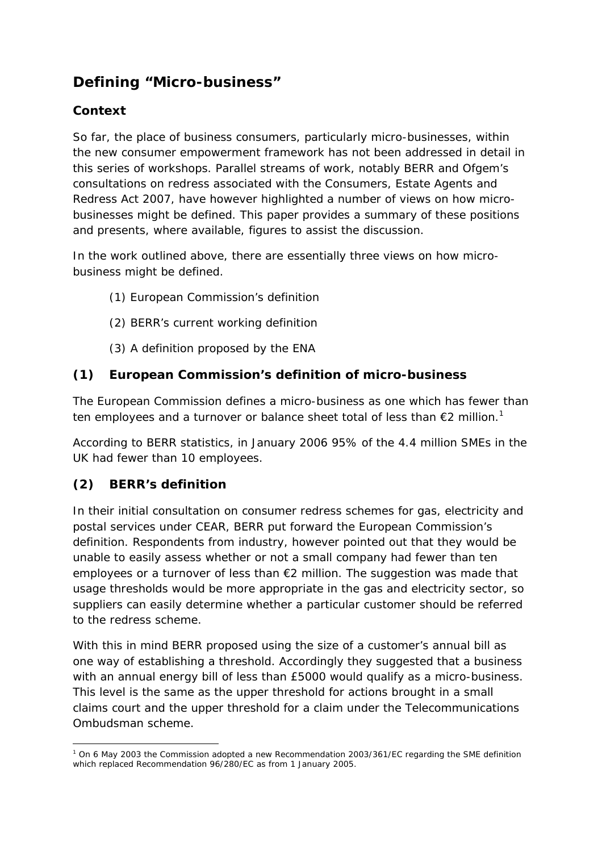# **Defining "Micro-business"**

### **Context**

So far, the place of business consumers, particularly micro-businesses, within the new consumer empowerment framework has not been addressed in detail in this series of workshops. Parallel streams of work, notably BERR and Ofgem's consultations on redress associated with the Consumers, Estate Agents and Redress Act 2007, have however highlighted a number of views on how microbusinesses might be defined. This paper provides a summary of these positions and presents, where available, figures to assist the discussion.

In the work outlined above, there are essentially three views on how microbusiness might be defined.

- (1) European Commission's definition
- (2) BERR's current working definition
- (3) A definition proposed by the ENA

### **(1) European Commission's definition of micro-business**

The European Commission defines a micro-business as one which has fewer than ten employees and a turnover or balance sheet total of less than  $\epsilon$ 2 million.<sup>1</sup>

According to BERR statistics, in January 2006 95% of the 4.4 million SMEs in the UK had fewer than 10 employees.

### **(2) BERR's definition**

In their initial consultation on consumer redress schemes for gas, electricity and postal services under CEAR, BERR put forward the European Commission's definition. Respondents from industry, however pointed out that they would be unable to easily assess whether or not a small company had fewer than ten employees or a turnover of less than €2 million. The suggestion was made that usage thresholds would be more appropriate in the gas and electricity sector, so suppliers can easily determine whether a particular customer should be referred to the redress scheme.

With this in mind BERR proposed using the size of a customer's annual bill as one way of establishing a threshold. Accordingly they suggested that a business with an annual energy bill of less than £5000 would qualify as a micro-business. This level is the same as the upper threshold for actions brought in a small claims court and the upper threshold for a claim under the Telecommunications Ombudsman scheme.

 <sup>1</sup> On 6 May 2003 the Commission adopted a new Recommendation 2003/361/EC regarding the SME definition which replaced Recommendation 96/280/EC as from 1 January 2005.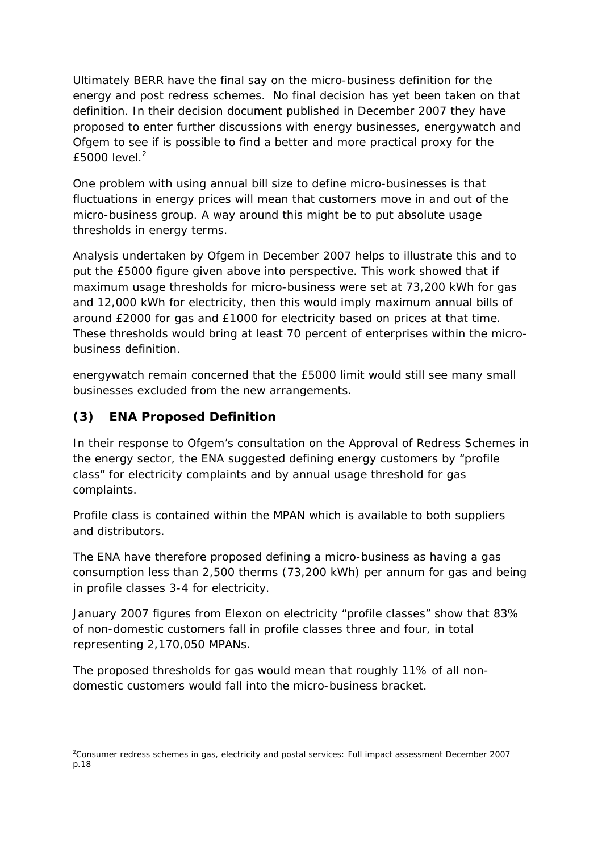Ultimately BERR have the final say on the micro-business definition for the energy and post redress schemes. No final decision has yet been taken on that definition. In their decision document published in December 2007 they have proposed to enter further discussions with energy businesses, energywatch and Ofgem to see if is possible to find a better and more practical proxy for the  $f5000$  level<sup>2</sup>

One problem with using annual bill size to define micro-businesses is that fluctuations in energy prices will mean that customers move in and out of the micro-business group. A way around this might be to put absolute usage thresholds in energy terms.

Analysis undertaken by Ofgem in December 2007 helps to illustrate this and to put the £5000 figure given above into perspective. This work showed that if maximum usage thresholds for micro-business were set at 73,200 kWh for gas and 12,000 kWh for electricity, then this would imply maximum annual bills of around £2000 for gas and £1000 for electricity based on prices at that time. These thresholds would bring at least 70 percent of enterprises within the microbusiness definition.

energywatch remain concerned that the £5000 limit would still see many small businesses excluded from the new arrangements.

## **(3) ENA Proposed Definition**

In their response to Ofgem's consultation on the Approval of Redress Schemes in the energy sector, the ENA suggested defining energy customers by "profile class" for electricity complaints and by annual usage threshold for gas complaints.

Profile class is contained within the MPAN which is available to both suppliers and distributors.

The ENA have therefore proposed defining a micro-business as having a gas consumption less than 2,500 therms (73,200 kWh) per annum for gas and being in profile classes 3-4 for electricity.

January 2007 figures from Elexon on electricity "profile classes" show that 83% of non-domestic customers fall in profile classes three and four, in total representing 2,170,050 MPANs.

The proposed thresholds for gas would mean that roughly 11% of all nondomestic customers would fall into the micro-business bracket.

 2 Consumer redress schemes in gas, electricity and postal services: Full impact assessment December 2007 p.18